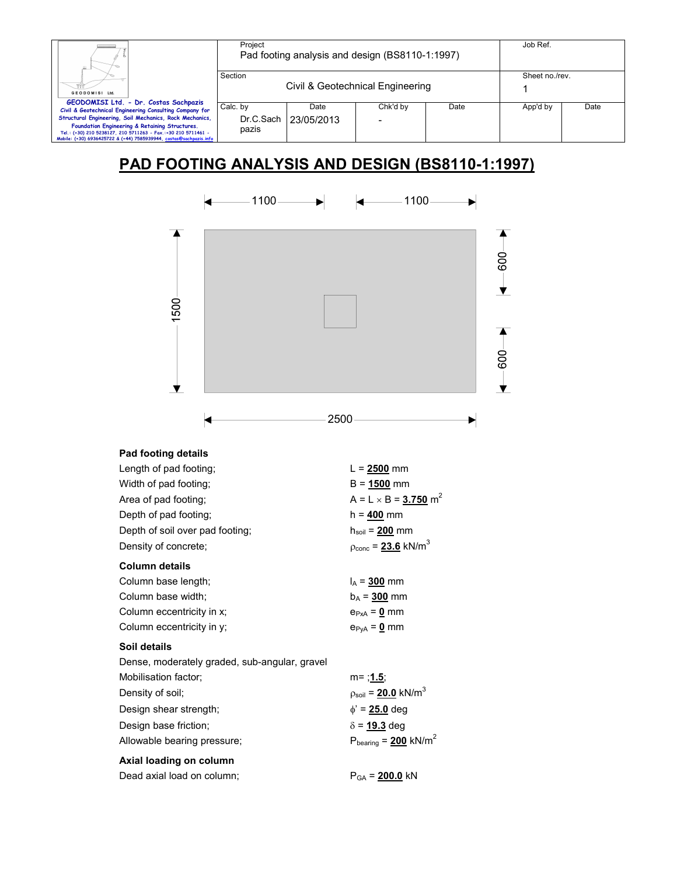| Ш.                                                                                                                                                                                                                                               | Project            |                                  | Pad footing analysis and design (BS8110-1:1997) |      | Job Ref. |      |
|--------------------------------------------------------------------------------------------------------------------------------------------------------------------------------------------------------------------------------------------------|--------------------|----------------------------------|-------------------------------------------------|------|----------|------|
| GEODOMISI Ltd.<br>GEODOMISI Ltd. - Dr. Costas Sachpazis                                                                                                                                                                                          | Section            | Civil & Geotechnical Engineering | Sheet no./rev.                                  |      |          |      |
| Civil & Geotechnical Engineering Consulting Company for                                                                                                                                                                                          | Calc. by           | Date                             | Chk'd by                                        | Date | App'd by | Date |
| Structural Engineering, Soil Mechanics, Rock Mechanics,<br>Foundation Engineering & Retaining Structures.<br>Tel.: (+30) 210 5238127, 210 5711263 - Fax.:+30 210 5711461 -<br>Mobile: (+30) 6936425722 & (+44) 7585939944, costas@sachpazis.info | Dr.C.Sach<br>pazis | 23/05/2013                       |                                                 |      |          |      |

# **PAD FOOTING ANALYSIS AND DESIGN (BS8110-1:1997)**



## **Pad footing details**

| Length of pad footing;                        | $L = 2500$ mm                             |
|-----------------------------------------------|-------------------------------------------|
| Width of pad footing;                         | $B = 1500$ mm                             |
| Area of pad footing;                          | $A = L \times B = 3.750$ m <sup>2</sup>   |
| Depth of pad footing;                         | $h = 400$ mm                              |
| Depth of soil over pad footing;               | $h_{\rm soil}$ = $200$ mm                 |
| Density of concrete;                          | $p_{\text{conc}} = 23.6 \text{ kN/m}^3$   |
| <b>Column details</b>                         |                                           |
| Column base length;                           | $I_A = 300$ mm                            |
| Column base width;                            | $b_A = 300$ mm                            |
| Column eccentricity in x;                     | $e_{PxA} = 0$ mm                          |
| Column eccentricity in y;                     | $e_{PyA} = 0$ mm                          |
| Soil details                                  |                                           |
| Dense, moderately graded, sub-angular, gravel |                                           |
| Mobilisation factor;                          | m= <u>;1.5</u> ;                          |
| Density of soil;                              | $p_{\text{soil}} = 20.0 \text{ kN/m}^3$   |
| Design shear strength;                        | $\phi'$ = 25.0 deg                        |
| Design base friction;                         | $\delta$ = 19.3 deg                       |
| Allowable bearing pressure;                   | $P_{\text{bearing}} = 200 \text{ kN/m}^2$ |
| Axial loading on column                       |                                           |
| Dead axial load on column;                    | $P_{GA}$ = 200.0 kN                       |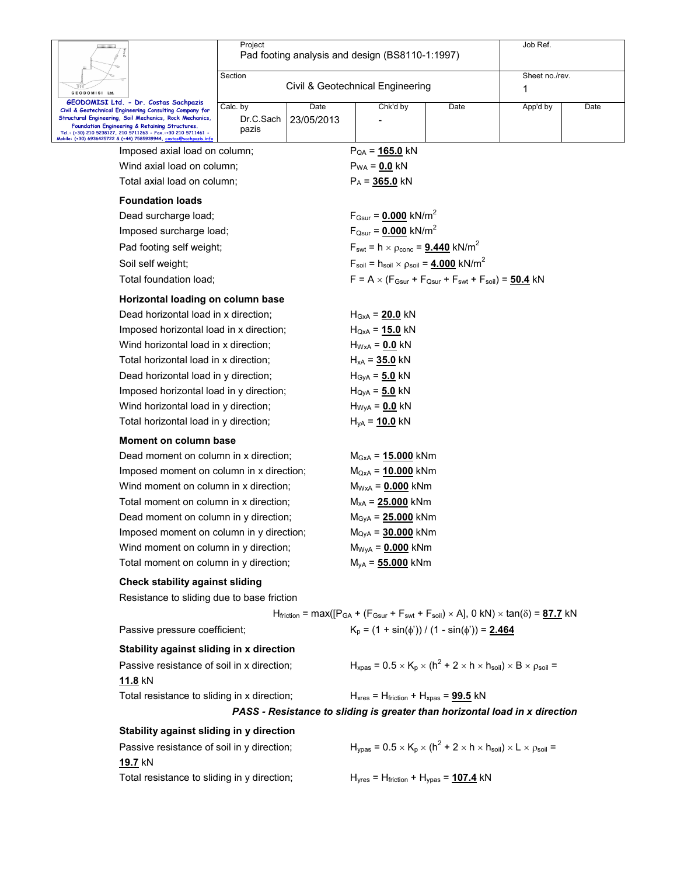|                                                                                                                                                                                                                                                                                | Project                        |                    | Pad footing analysis and design (BS8110-1:1997)                                                                                                                    |      | Job Ref.       |      |  |  |
|--------------------------------------------------------------------------------------------------------------------------------------------------------------------------------------------------------------------------------------------------------------------------------|--------------------------------|--------------------|--------------------------------------------------------------------------------------------------------------------------------------------------------------------|------|----------------|------|--|--|
|                                                                                                                                                                                                                                                                                | Section                        |                    |                                                                                                                                                                    |      | Sheet no./rev. |      |  |  |
| GEODOMISI Ltd.                                                                                                                                                                                                                                                                 |                                |                    | Civil & Geotechnical Engineering                                                                                                                                   |      | 1              |      |  |  |
| GEODOMISI Ltd. - Dr. Costas Sachpazis<br>Civil & Geotechnical Engineering Consulting Company for<br>Structural Engineering, Soil Mechanics, Rock Mechanics,<br>Foundation Engineering & Retaining Structures.<br>Tel.: (+30) 210 5238127, 210 5711263 - Fax.:+30 210 5711461 - | Calc. by<br>Dr.C.Sach<br>pazis | Date<br>23/05/2013 | Chk'd by                                                                                                                                                           | Date | App'd by       | Date |  |  |
| Mobile: (+30) 6936425722 & (+44) 7585939944, costas@sachpazis.info<br>Imposed axial load on column;                                                                                                                                                                            |                                |                    | $P_{QA} = 165.0$ kN                                                                                                                                                |      |                |      |  |  |
| Wind axial load on column:                                                                                                                                                                                                                                                     |                                |                    | $P_{WA} = 0.0$ kN                                                                                                                                                  |      |                |      |  |  |
| Total axial load on column;                                                                                                                                                                                                                                                    |                                |                    | $P_A = 365.0$ kN                                                                                                                                                   |      |                |      |  |  |
| <b>Foundation loads</b>                                                                                                                                                                                                                                                        |                                |                    |                                                                                                                                                                    |      |                |      |  |  |
| Dead surcharge load;                                                                                                                                                                                                                                                           |                                |                    | $F_{Gsur} = 0.000$ kN/m <sup>2</sup>                                                                                                                               |      |                |      |  |  |
| Imposed surcharge load;                                                                                                                                                                                                                                                        |                                |                    | $F_{\text{Qsur}} = 0.000 \text{ kN/m}^2$                                                                                                                           |      |                |      |  |  |
| Pad footing self weight;                                                                                                                                                                                                                                                       |                                |                    | $F_{\text{swt}} = h \times \rho_{\text{conc}} = 9.440 \text{ kN/m}^2$                                                                                              |      |                |      |  |  |
| Soil self weight;                                                                                                                                                                                                                                                              |                                |                    | $F_{\text{soil}} = h_{\text{soil}} \times \rho_{\text{soil}} = 4.000 \text{ kN/m}^2$                                                                               |      |                |      |  |  |
| Total foundation load;                                                                                                                                                                                                                                                         |                                |                    | $F = A \times (F_{Gsur} + F_{Qsur} + F_{svt} + F_{soil}) = 50.4$ kN                                                                                                |      |                |      |  |  |
| Horizontal loading on column base                                                                                                                                                                                                                                              |                                |                    |                                                                                                                                                                    |      |                |      |  |  |
| Dead horizontal load in x direction;                                                                                                                                                                                                                                           |                                |                    | $H_{GxA} = 20.0$ kN                                                                                                                                                |      |                |      |  |  |
| Imposed horizontal load in x direction;                                                                                                                                                                                                                                        |                                |                    | $H_{QxA} = 15.0$ kN                                                                                                                                                |      |                |      |  |  |
| Wind horizontal load in x direction;                                                                                                                                                                                                                                           |                                |                    | $H_{WxA}$ = 0.0 kN                                                                                                                                                 |      |                |      |  |  |
| Total horizontal load in x direction;                                                                                                                                                                                                                                          |                                |                    | $H_{xA} = 35.0$ kN                                                                                                                                                 |      |                |      |  |  |
| Dead horizontal load in y direction;                                                                                                                                                                                                                                           |                                |                    | $H_{\text{GyA}} = 5.0 \text{ kN}$                                                                                                                                  |      |                |      |  |  |
| Imposed horizontal load in y direction;                                                                                                                                                                                                                                        |                                |                    | $H_{\text{QyA}} = 5.0 \text{ kN}$                                                                                                                                  |      |                |      |  |  |
| Wind horizontal load in y direction;                                                                                                                                                                                                                                           |                                |                    | $H_{WyA} = 0.0$ kN                                                                                                                                                 |      |                |      |  |  |
| Total horizontal load in y direction;                                                                                                                                                                                                                                          |                                |                    | $H_{yA} = 10.0$ kN                                                                                                                                                 |      |                |      |  |  |
| <b>Moment on column base</b>                                                                                                                                                                                                                                                   |                                |                    |                                                                                                                                                                    |      |                |      |  |  |
| Dead moment on column in x direction;                                                                                                                                                                                                                                          |                                |                    | $M_{GxA} = 15.000$ kNm                                                                                                                                             |      |                |      |  |  |
| Imposed moment on column in x direction;                                                                                                                                                                                                                                       |                                |                    | $M_{QxA} = 10.000$ kNm                                                                                                                                             |      |                |      |  |  |
| Wind moment on column in x direction;                                                                                                                                                                                                                                          |                                |                    | $M_{WxA} = 0.000$ kNm                                                                                                                                              |      |                |      |  |  |
| Total moment on column in x direction;                                                                                                                                                                                                                                         |                                |                    | $M_{xA} = 25.000$ kNm                                                                                                                                              |      |                |      |  |  |
| Dead moment on column in y direction;                                                                                                                                                                                                                                          |                                |                    | $M_{\rm GyA} = 25.000$ kNm                                                                                                                                         |      |                |      |  |  |
| Imposed moment on column in y direction;                                                                                                                                                                                                                                       |                                |                    | $M_{\text{QyA}} = 30.000 \text{ kNm}$                                                                                                                              |      |                |      |  |  |
| Wind moment on column in y direction;                                                                                                                                                                                                                                          |                                |                    | $M_{WyA} = 0.000$ kNm                                                                                                                                              |      |                |      |  |  |
| Total moment on column in y direction;                                                                                                                                                                                                                                         |                                |                    | $M_{yA} = 55.000$ kNm                                                                                                                                              |      |                |      |  |  |
| <b>Check stability against sliding</b>                                                                                                                                                                                                                                         |                                |                    |                                                                                                                                                                    |      |                |      |  |  |
| Resistance to sliding due to base friction                                                                                                                                                                                                                                     |                                |                    |                                                                                                                                                                    |      |                |      |  |  |
|                                                                                                                                                                                                                                                                                |                                |                    | $H_{friction}$ = max([P <sub>GA</sub> + (F <sub>Gsur</sub> + F <sub>swt</sub> + F <sub>soil</sub> ) × A], 0 kN) × tan( $\delta$ ) = 87.7 kN                        |      |                |      |  |  |
| Passive pressure coefficient;                                                                                                                                                                                                                                                  |                                |                    | $K_p = (1 + \sin(\phi')) / (1 - \sin(\phi')) = 2.464$                                                                                                              |      |                |      |  |  |
| Stability against sliding in x direction                                                                                                                                                                                                                                       |                                |                    |                                                                                                                                                                    |      |                |      |  |  |
| Passive resistance of soil in x direction;<br>11.8 kN                                                                                                                                                                                                                          |                                |                    | $H_{x_{\text{DGS}}}$ = 0.5 $\times$ K <sub>p</sub> $\times$ (h <sup>2</sup> + 2 $\times$ h $\times$ h <sub>soil</sub> ) $\times$ B $\times$ $\rho_{\text{soil}}$ = |      |                |      |  |  |
| Total resistance to sliding in x direction;                                                                                                                                                                                                                                    |                                |                    | $H_{xres}$ = $H_{friction}$ + $H_{xpas}$ = $99.5$ kN                                                                                                               |      |                |      |  |  |
|                                                                                                                                                                                                                                                                                |                                |                    | PASS - Resistance to sliding is greater than horizontal load in x direction                                                                                        |      |                |      |  |  |
| Stability against sliding in y direction                                                                                                                                                                                                                                       |                                |                    |                                                                                                                                                                    |      |                |      |  |  |
| Passive resistance of soil in y direction;<br>19.7 kN                                                                                                                                                                                                                          |                                |                    | $H_{\text{ypas}} = 0.5 \times K_{\text{p}} \times (h^2 + 2 \times h \times h_{\text{soil}}) \times L \times \rho_{\text{soil}} =$                                  |      |                |      |  |  |
| Total resistance to sliding in y direction;                                                                                                                                                                                                                                    |                                |                    | $Hyres$ = $Hfriction$ + $Hypas$ = 107.4 kN                                                                                                                         |      |                |      |  |  |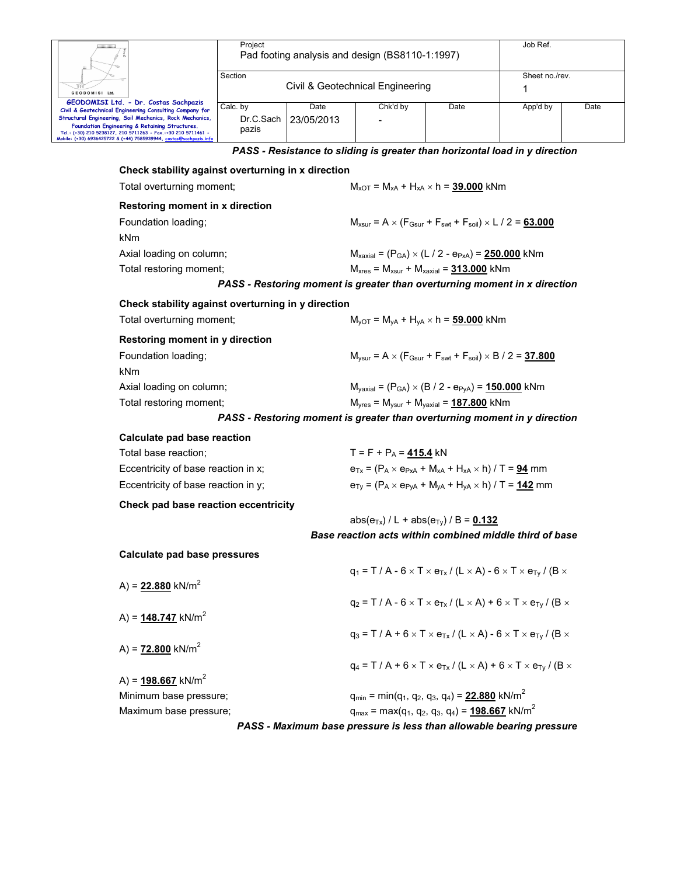|                                                                                                                                                                                                                                                                                                                                            | Proiect                                                               |                    | Pad footing analysis and design (BS8110-1:1997)          |                                                                                                                        | Job Ref.            |      |
|--------------------------------------------------------------------------------------------------------------------------------------------------------------------------------------------------------------------------------------------------------------------------------------------------------------------------------------------|-----------------------------------------------------------------------|--------------------|----------------------------------------------------------|------------------------------------------------------------------------------------------------------------------------|---------------------|------|
| GEODOMISI Ltd.                                                                                                                                                                                                                                                                                                                             | Section                                                               |                    | Civil & Geotechnical Engineering                         |                                                                                                                        | Sheet no./rev.<br>1 |      |
| GEODOMISI Ltd. - Dr. Costas Sachpazis<br>Civil & Geotechnical Engineering Consulting Company for<br>Structural Engineering, Soil Mechanics, Rock Mechanics,<br>Foundation Engineering & Retaining Structures.<br>Tel.: (+30) 210 5238127, 210 5711263 - Fax.:+30 210 5711461 -<br>Mobile: (+30) 6936425722 & (+44) 7585939944, costas@sach | Calc. by<br>Dr.C.Sach<br>pazis                                        | Date<br>23/05/2013 | Chk'd by                                                 | Date                                                                                                                   | App'd by            | Date |
|                                                                                                                                                                                                                                                                                                                                            |                                                                       |                    |                                                          | PASS - Resistance to sliding is greater than horizontal load in y direction                                            |                     |      |
| Check stability against overturning in x direction                                                                                                                                                                                                                                                                                         |                                                                       |                    |                                                          |                                                                                                                        |                     |      |
| Total overturning moment;                                                                                                                                                                                                                                                                                                                  |                                                                       |                    |                                                          | $M_{XOT} = M_{xA} + H_{xA} \times h = 39.000$ kNm                                                                      |                     |      |
| Restoring moment in x direction                                                                                                                                                                                                                                                                                                            |                                                                       |                    |                                                          |                                                                                                                        |                     |      |
| Foundation loading;<br>kNm                                                                                                                                                                                                                                                                                                                 |                                                                       |                    |                                                          | $M_{xsur} = A \times (F_{Gsur} + F_{svt} + F_{soil}) \times L / 2 = 63.000$                                            |                     |      |
| Axial loading on column;                                                                                                                                                                                                                                                                                                                   |                                                                       |                    |                                                          | $M_{\text{axial}} = (P_{GA}) \times (L / 2 - e_{PxA}) = 250.000$ kNm                                                   |                     |      |
| Total restoring moment;                                                                                                                                                                                                                                                                                                                    |                                                                       |                    |                                                          | $M_{xres}$ = $M_{xsur}$ + $M_{xaxial}$ = 313.000 kNm                                                                   |                     |      |
|                                                                                                                                                                                                                                                                                                                                            |                                                                       |                    |                                                          | PASS - Restoring moment is greater than overturning moment in x direction                                              |                     |      |
| Check stability against overturning in y direction                                                                                                                                                                                                                                                                                         |                                                                       |                    |                                                          |                                                                                                                        |                     |      |
| Total overturning moment;                                                                                                                                                                                                                                                                                                                  |                                                                       |                    |                                                          | $M_{\text{VOT}} = M_{\text{VA}} + H_{\text{VA}} \times h = 59.000$ kNm                                                 |                     |      |
| Restoring moment in y direction                                                                                                                                                                                                                                                                                                            |                                                                       |                    |                                                          |                                                                                                                        |                     |      |
| Foundation loading;                                                                                                                                                                                                                                                                                                                        |                                                                       |                    |                                                          | $M_{\text{vsur}} = A \times (F_{\text{Gsur}} + F_{\text{swt}} + F_{\text{soil}}) \times B / 2 = 37.800$                |                     |      |
| kNm                                                                                                                                                                                                                                                                                                                                        |                                                                       |                    |                                                          |                                                                                                                        |                     |      |
| Axial loading on column;                                                                                                                                                                                                                                                                                                                   | $M_{\text{yaxial}} = (P_{GA}) \times (B / 2 - e_{PyA}) = 150.000$ kNm |                    |                                                          |                                                                                                                        |                     |      |
| Total restoring moment;                                                                                                                                                                                                                                                                                                                    |                                                                       |                    |                                                          | $Myres = Mysur + Myaxial = 187.800$ kNm                                                                                |                     |      |
|                                                                                                                                                                                                                                                                                                                                            |                                                                       |                    |                                                          | PASS - Restoring moment is greater than overturning moment in y direction                                              |                     |      |
| Calculate pad base reaction                                                                                                                                                                                                                                                                                                                |                                                                       |                    |                                                          |                                                                                                                        |                     |      |
| Total base reaction;                                                                                                                                                                                                                                                                                                                       |                                                                       |                    | $T = F + P_A = 415.4$ kN                                 |                                                                                                                        |                     |      |
| Eccentricity of base reaction in x;                                                                                                                                                                                                                                                                                                        |                                                                       |                    |                                                          | $e_{Tx} = (P_A \times e_{PxA} + M_{xA} + H_{xA} \times h) / T = 94$ mm                                                 |                     |      |
| Eccentricity of base reaction in y;                                                                                                                                                                                                                                                                                                        |                                                                       |                    |                                                          | $e_{Tv} = (P_A \times e_{PVA} + M_{VA} + H_{VA} \times h) / T = 142$ mm                                                |                     |      |
| Check pad base reaction eccentricity                                                                                                                                                                                                                                                                                                       |                                                                       |                    |                                                          |                                                                                                                        |                     |      |
|                                                                                                                                                                                                                                                                                                                                            |                                                                       |                    | abs( $e_{Tx}$ ) / L + abs( $e_{Tv}$ ) / B = <b>0.132</b> |                                                                                                                        |                     |      |
|                                                                                                                                                                                                                                                                                                                                            |                                                                       |                    |                                                          | Base reaction acts within combined middle third of base                                                                |                     |      |
| <b>Calculate pad base pressures</b>                                                                                                                                                                                                                                                                                                        |                                                                       |                    |                                                          |                                                                                                                        |                     |      |
|                                                                                                                                                                                                                                                                                                                                            |                                                                       |                    |                                                          | $q_1 = T / A - 6 \times T \times e_{Tx} / (L \times A) - 6 \times T \times e_{Ty} / (B \times$                         |                     |      |
| A) = $22.880$ kN/m <sup>2</sup>                                                                                                                                                                                                                                                                                                            |                                                                       |                    |                                                          | $q_2 = T / A - 6 \times T \times e_{Tx} / (L \times A) + 6 \times T \times e_{Ty} / (B \times$                         |                     |      |
| A) = $148.747$ kN/m <sup>2</sup>                                                                                                                                                                                                                                                                                                           |                                                                       |                    |                                                          |                                                                                                                        |                     |      |
|                                                                                                                                                                                                                                                                                                                                            |                                                                       |                    |                                                          | $q_3 = T / A + 6 \times T \times e_{Tx} / (L \times A) - 6 \times T \times e_{Ty} / (B \times$                         |                     |      |
| A) = $72.800$ kN/m <sup>2</sup>                                                                                                                                                                                                                                                                                                            |                                                                       |                    |                                                          |                                                                                                                        |                     |      |
|                                                                                                                                                                                                                                                                                                                                            |                                                                       |                    |                                                          | $q_4 = T/A + 6 \times T \times e_{Tx}/(L \times A) + 6 \times T \times e_{Ty}/(B \times$                               |                     |      |
| A) = $198.667$ kN/m <sup>2</sup>                                                                                                                                                                                                                                                                                                           |                                                                       |                    |                                                          |                                                                                                                        |                     |      |
| Minimum base pressure;                                                                                                                                                                                                                                                                                                                     |                                                                       |                    |                                                          | $q_{min} = min(q_1, q_2, q_3, q_4) = 22.880$ kN/m <sup>2</sup>                                                         |                     |      |
| Maximum base pressure;                                                                                                                                                                                                                                                                                                                     |                                                                       |                    |                                                          | $q_{max}$ = max(q <sub>1</sub> , q <sub>2</sub> , q <sub>3</sub> , q <sub>4</sub> ) = <b>198.667</b> kN/m <sup>2</sup> |                     |      |
|                                                                                                                                                                                                                                                                                                                                            |                                                                       |                    |                                                          | PASS - Maximum base pressure is less than allowable bearing pressure                                                   |                     |      |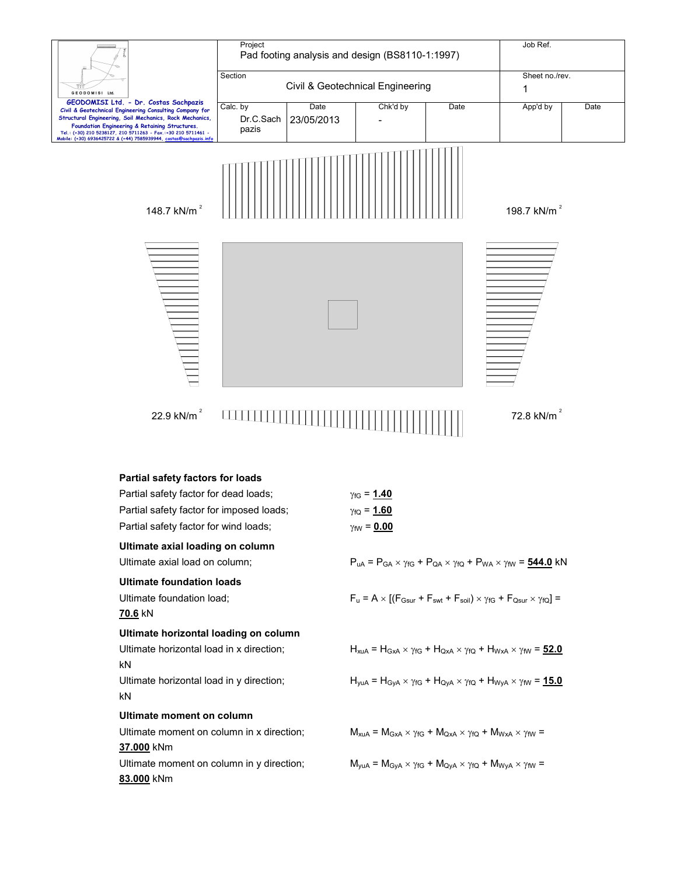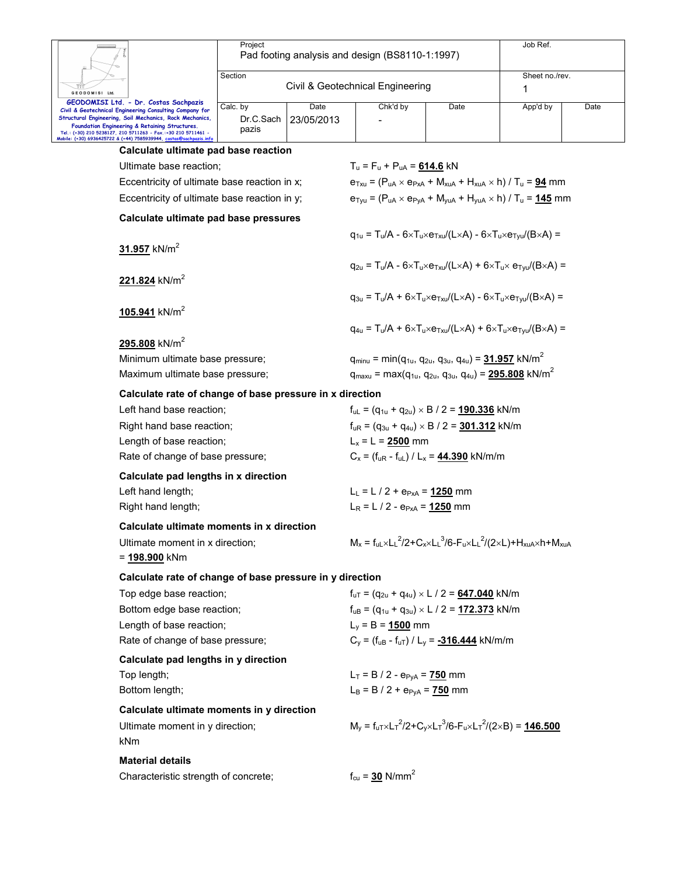| Section<br>Sheet no./rev.<br>Civil & Geotechnical Engineering<br>1<br>GEODOMISI Ltd.<br>GEODOMISI Ltd. - Dr. Costas Sachpazis<br>Date<br>Chk'd by<br>App'd by<br>Date<br>Date<br>Calc. by<br>Civil & Geotechnical Engineering Consulting Company for<br>Structural Engineering, Soil Mechanics, Rock Mechanics,<br>Dr.C.Sach<br>23/05/2013<br>Foundation Engineering & Retaining Structures.<br>pazis<br>Tel.: (+30) 210 5238127, 210 5711263 - Fax.:+30 210 5711461 -<br>Mobile: (+30) 6936425722 & (+44) 7585939944, <u>costas@sach</u><br>Calculate ultimate pad base reaction<br>Ultimate base reaction;<br>$T_u = F_u + P_{uA} = 614.6$ kN<br>Eccentricity of ultimate base reaction in x;<br>$e_{\text{Txu}} = (P_{\text{uA}} \times e_{\text{PxA}} + M_{\text{xuA}} + H_{\text{xuA}} \times h) / T_{\text{u}} = 94 \text{ mm}$<br>Eccentricity of ultimate base reaction in y;<br>$e_{\text{Tyu}} = (P_{uA} \times e_{\text{PyA}} + M_{\text{yuA}} + H_{\text{yuA}} \times h) / T_u = 145$ mm<br>Calculate ultimate pad base pressures<br>$q_{1u} = T_u/A - 6 \times T_u \times e_{T_xu}/(L \times A) - 6 \times T_u \times e_{T_vu}/(B \times A) =$<br>31.957 kN/m <sup>2</sup><br>$q_{211} = T_{11}/A - 6 \times T_{11} \times e_{T_{21}}/(L \times A) + 6 \times T_{11} \times e_{T_{211}}/(B \times A) =$<br>221.824 kN/m <sup>2</sup><br>$q_{3u} = T_u/A + 6 \times T_u \times e_{T xu}/(L \times A) - 6 \times T_u \times e_{Tvu}/(B \times A) =$<br>$105.941$ kN/m <sup>2</sup><br>$q_{4u} = T_u/A + 6 \times T_u \times e_{Txu}/(L \times A) + 6 \times T_u \times e_{Tvu}/(B \times A) =$<br>295.808 kN/m <sup>2</sup><br>$q_{minu} = min(q_{1u}, q_{2u}, q_{3u}, q_{4u}) = 31.957$ kN/m <sup>2</sup><br>Minimum ultimate base pressure;<br>Maximum ultimate base pressure;<br>$q_{maxu}$ = max( $q_{1u}$ , $q_{2u}$ , $q_{3u}$ , $q_{4u}$ ) = 295.808 kN/m <sup>2</sup><br>Calculate rate of change of base pressure in x direction<br>Left hand base reaction;<br>$f_{UL} = (q_{1u} + q_{2u}) \times B / 2 = 190.336$ kN/m<br>Right hand base reaction;<br>$f_{uR} = (q_{3u} + q_{4u}) \times B / 2 = 301.312$ kN/m<br>Length of base reaction;<br>$L_x = L = 2500$ mm<br>$C_x = (f_{uR} - f_{uL}) / L_x = 44.390$ kN/m/m<br>Rate of change of base pressure;<br>Calculate pad lengths in x direction<br>Left hand length;<br>$L_1 = L / 2 + e_{P_xA} = 1250$ mm<br>Right hand length;<br>$L_R = L / 2 - e_{PxA} = 1250$ mm<br>Calculate ultimate moments in x direction<br>$M_x = f_{uL} \times L_L^2 / 2 + C_x \times L_L^3 / 6 - F_u \times L_L^2 / (2 \times L) + H_{xuA} \times h + M_{xuA}$<br>Ultimate moment in x direction;<br>= <u>198.900</u> kNm<br>Calculate rate of change of base pressure in y direction<br>Top edge base reaction;<br>$f_{uT} = (q_{2u} + q_{4u}) \times L / 2 = 647.040$ kN/m<br>Bottom edge base reaction;<br>$f_{UB} = (q_{1u} + q_{3u}) \times L / 2 = 172.373$ kN/m<br>Length of base reaction;<br>$L_y = B = 1500$ mm<br>Rate of change of base pressure;<br>$C_v = (f_{uB} - f_{uT}) / L_v = -316.444$ kN/m/m<br>Calculate pad lengths in y direction<br>$L_T = B / 2 - e_{PyA} = 750$ mm<br>Top length;<br>$L_B = B / 2 + e_{PVA} = 750$ mm<br>Bottom length;<br>Calculate ultimate moments in y direction<br>$M_v = f_{uT} \times L_T^2 / 2 + C_v \times L_T^3 / 6 - F_u \times L_T^2 / (2 \times B) = 146.500$<br>Ultimate moment in y direction;<br>kNm<br><b>Material details</b><br>$f_{cu} = 30$ N/mm <sup>2</sup><br>Characteristic strength of concrete; | Project | Pad footing analysis and design (BS8110-1:1997) |  |  |  |  |  |
|-----------------------------------------------------------------------------------------------------------------------------------------------------------------------------------------------------------------------------------------------------------------------------------------------------------------------------------------------------------------------------------------------------------------------------------------------------------------------------------------------------------------------------------------------------------------------------------------------------------------------------------------------------------------------------------------------------------------------------------------------------------------------------------------------------------------------------------------------------------------------------------------------------------------------------------------------------------------------------------------------------------------------------------------------------------------------------------------------------------------------------------------------------------------------------------------------------------------------------------------------------------------------------------------------------------------------------------------------------------------------------------------------------------------------------------------------------------------------------------------------------------------------------------------------------------------------------------------------------------------------------------------------------------------------------------------------------------------------------------------------------------------------------------------------------------------------------------------------------------------------------------------------------------------------------------------------------------------------------------------------------------------------------------------------------------------------------------------------------------------------------------------------------------------------------------------------------------------------------------------------------------------------------------------------------------------------------------------------------------------------------------------------------------------------------------------------------------------------------------------------------------------------------------------------------------------------------------------------------------------------------------------------------------------------------------------------------------------------------------------------------------------------------------------------------------------------------------------------------------------------------------------------------------------------------------------------------------------------------------------------------------------------------------------------------------------------------------------------------------------------------------------------------------------------------------------------------------------------------------------------------------------------------------------------------------------------------------------------------------------------------------------------------------------------------------------------------------------------------------------------------------------------------|---------|-------------------------------------------------|--|--|--|--|--|
|                                                                                                                                                                                                                                                                                                                                                                                                                                                                                                                                                                                                                                                                                                                                                                                                                                                                                                                                                                                                                                                                                                                                                                                                                                                                                                                                                                                                                                                                                                                                                                                                                                                                                                                                                                                                                                                                                                                                                                                                                                                                                                                                                                                                                                                                                                                                                                                                                                                                                                                                                                                                                                                                                                                                                                                                                                                                                                                                                                                                                                                                                                                                                                                                                                                                                                                                                                                                                                                                                                                             |         |                                                 |  |  |  |  |  |
|                                                                                                                                                                                                                                                                                                                                                                                                                                                                                                                                                                                                                                                                                                                                                                                                                                                                                                                                                                                                                                                                                                                                                                                                                                                                                                                                                                                                                                                                                                                                                                                                                                                                                                                                                                                                                                                                                                                                                                                                                                                                                                                                                                                                                                                                                                                                                                                                                                                                                                                                                                                                                                                                                                                                                                                                                                                                                                                                                                                                                                                                                                                                                                                                                                                                                                                                                                                                                                                                                                                             |         |                                                 |  |  |  |  |  |
|                                                                                                                                                                                                                                                                                                                                                                                                                                                                                                                                                                                                                                                                                                                                                                                                                                                                                                                                                                                                                                                                                                                                                                                                                                                                                                                                                                                                                                                                                                                                                                                                                                                                                                                                                                                                                                                                                                                                                                                                                                                                                                                                                                                                                                                                                                                                                                                                                                                                                                                                                                                                                                                                                                                                                                                                                                                                                                                                                                                                                                                                                                                                                                                                                                                                                                                                                                                                                                                                                                                             |         |                                                 |  |  |  |  |  |
|                                                                                                                                                                                                                                                                                                                                                                                                                                                                                                                                                                                                                                                                                                                                                                                                                                                                                                                                                                                                                                                                                                                                                                                                                                                                                                                                                                                                                                                                                                                                                                                                                                                                                                                                                                                                                                                                                                                                                                                                                                                                                                                                                                                                                                                                                                                                                                                                                                                                                                                                                                                                                                                                                                                                                                                                                                                                                                                                                                                                                                                                                                                                                                                                                                                                                                                                                                                                                                                                                                                             |         |                                                 |  |  |  |  |  |
|                                                                                                                                                                                                                                                                                                                                                                                                                                                                                                                                                                                                                                                                                                                                                                                                                                                                                                                                                                                                                                                                                                                                                                                                                                                                                                                                                                                                                                                                                                                                                                                                                                                                                                                                                                                                                                                                                                                                                                                                                                                                                                                                                                                                                                                                                                                                                                                                                                                                                                                                                                                                                                                                                                                                                                                                                                                                                                                                                                                                                                                                                                                                                                                                                                                                                                                                                                                                                                                                                                                             |         |                                                 |  |  |  |  |  |
|                                                                                                                                                                                                                                                                                                                                                                                                                                                                                                                                                                                                                                                                                                                                                                                                                                                                                                                                                                                                                                                                                                                                                                                                                                                                                                                                                                                                                                                                                                                                                                                                                                                                                                                                                                                                                                                                                                                                                                                                                                                                                                                                                                                                                                                                                                                                                                                                                                                                                                                                                                                                                                                                                                                                                                                                                                                                                                                                                                                                                                                                                                                                                                                                                                                                                                                                                                                                                                                                                                                             |         |                                                 |  |  |  |  |  |
|                                                                                                                                                                                                                                                                                                                                                                                                                                                                                                                                                                                                                                                                                                                                                                                                                                                                                                                                                                                                                                                                                                                                                                                                                                                                                                                                                                                                                                                                                                                                                                                                                                                                                                                                                                                                                                                                                                                                                                                                                                                                                                                                                                                                                                                                                                                                                                                                                                                                                                                                                                                                                                                                                                                                                                                                                                                                                                                                                                                                                                                                                                                                                                                                                                                                                                                                                                                                                                                                                                                             |         |                                                 |  |  |  |  |  |
|                                                                                                                                                                                                                                                                                                                                                                                                                                                                                                                                                                                                                                                                                                                                                                                                                                                                                                                                                                                                                                                                                                                                                                                                                                                                                                                                                                                                                                                                                                                                                                                                                                                                                                                                                                                                                                                                                                                                                                                                                                                                                                                                                                                                                                                                                                                                                                                                                                                                                                                                                                                                                                                                                                                                                                                                                                                                                                                                                                                                                                                                                                                                                                                                                                                                                                                                                                                                                                                                                                                             |         |                                                 |  |  |  |  |  |
|                                                                                                                                                                                                                                                                                                                                                                                                                                                                                                                                                                                                                                                                                                                                                                                                                                                                                                                                                                                                                                                                                                                                                                                                                                                                                                                                                                                                                                                                                                                                                                                                                                                                                                                                                                                                                                                                                                                                                                                                                                                                                                                                                                                                                                                                                                                                                                                                                                                                                                                                                                                                                                                                                                                                                                                                                                                                                                                                                                                                                                                                                                                                                                                                                                                                                                                                                                                                                                                                                                                             |         |                                                 |  |  |  |  |  |
|                                                                                                                                                                                                                                                                                                                                                                                                                                                                                                                                                                                                                                                                                                                                                                                                                                                                                                                                                                                                                                                                                                                                                                                                                                                                                                                                                                                                                                                                                                                                                                                                                                                                                                                                                                                                                                                                                                                                                                                                                                                                                                                                                                                                                                                                                                                                                                                                                                                                                                                                                                                                                                                                                                                                                                                                                                                                                                                                                                                                                                                                                                                                                                                                                                                                                                                                                                                                                                                                                                                             |         |                                                 |  |  |  |  |  |
|                                                                                                                                                                                                                                                                                                                                                                                                                                                                                                                                                                                                                                                                                                                                                                                                                                                                                                                                                                                                                                                                                                                                                                                                                                                                                                                                                                                                                                                                                                                                                                                                                                                                                                                                                                                                                                                                                                                                                                                                                                                                                                                                                                                                                                                                                                                                                                                                                                                                                                                                                                                                                                                                                                                                                                                                                                                                                                                                                                                                                                                                                                                                                                                                                                                                                                                                                                                                                                                                                                                             |         |                                                 |  |  |  |  |  |
|                                                                                                                                                                                                                                                                                                                                                                                                                                                                                                                                                                                                                                                                                                                                                                                                                                                                                                                                                                                                                                                                                                                                                                                                                                                                                                                                                                                                                                                                                                                                                                                                                                                                                                                                                                                                                                                                                                                                                                                                                                                                                                                                                                                                                                                                                                                                                                                                                                                                                                                                                                                                                                                                                                                                                                                                                                                                                                                                                                                                                                                                                                                                                                                                                                                                                                                                                                                                                                                                                                                             |         |                                                 |  |  |  |  |  |
|                                                                                                                                                                                                                                                                                                                                                                                                                                                                                                                                                                                                                                                                                                                                                                                                                                                                                                                                                                                                                                                                                                                                                                                                                                                                                                                                                                                                                                                                                                                                                                                                                                                                                                                                                                                                                                                                                                                                                                                                                                                                                                                                                                                                                                                                                                                                                                                                                                                                                                                                                                                                                                                                                                                                                                                                                                                                                                                                                                                                                                                                                                                                                                                                                                                                                                                                                                                                                                                                                                                             |         |                                                 |  |  |  |  |  |
|                                                                                                                                                                                                                                                                                                                                                                                                                                                                                                                                                                                                                                                                                                                                                                                                                                                                                                                                                                                                                                                                                                                                                                                                                                                                                                                                                                                                                                                                                                                                                                                                                                                                                                                                                                                                                                                                                                                                                                                                                                                                                                                                                                                                                                                                                                                                                                                                                                                                                                                                                                                                                                                                                                                                                                                                                                                                                                                                                                                                                                                                                                                                                                                                                                                                                                                                                                                                                                                                                                                             |         |                                                 |  |  |  |  |  |
|                                                                                                                                                                                                                                                                                                                                                                                                                                                                                                                                                                                                                                                                                                                                                                                                                                                                                                                                                                                                                                                                                                                                                                                                                                                                                                                                                                                                                                                                                                                                                                                                                                                                                                                                                                                                                                                                                                                                                                                                                                                                                                                                                                                                                                                                                                                                                                                                                                                                                                                                                                                                                                                                                                                                                                                                                                                                                                                                                                                                                                                                                                                                                                                                                                                                                                                                                                                                                                                                                                                             |         |                                                 |  |  |  |  |  |
|                                                                                                                                                                                                                                                                                                                                                                                                                                                                                                                                                                                                                                                                                                                                                                                                                                                                                                                                                                                                                                                                                                                                                                                                                                                                                                                                                                                                                                                                                                                                                                                                                                                                                                                                                                                                                                                                                                                                                                                                                                                                                                                                                                                                                                                                                                                                                                                                                                                                                                                                                                                                                                                                                                                                                                                                                                                                                                                                                                                                                                                                                                                                                                                                                                                                                                                                                                                                                                                                                                                             |         |                                                 |  |  |  |  |  |
|                                                                                                                                                                                                                                                                                                                                                                                                                                                                                                                                                                                                                                                                                                                                                                                                                                                                                                                                                                                                                                                                                                                                                                                                                                                                                                                                                                                                                                                                                                                                                                                                                                                                                                                                                                                                                                                                                                                                                                                                                                                                                                                                                                                                                                                                                                                                                                                                                                                                                                                                                                                                                                                                                                                                                                                                                                                                                                                                                                                                                                                                                                                                                                                                                                                                                                                                                                                                                                                                                                                             |         |                                                 |  |  |  |  |  |
|                                                                                                                                                                                                                                                                                                                                                                                                                                                                                                                                                                                                                                                                                                                                                                                                                                                                                                                                                                                                                                                                                                                                                                                                                                                                                                                                                                                                                                                                                                                                                                                                                                                                                                                                                                                                                                                                                                                                                                                                                                                                                                                                                                                                                                                                                                                                                                                                                                                                                                                                                                                                                                                                                                                                                                                                                                                                                                                                                                                                                                                                                                                                                                                                                                                                                                                                                                                                                                                                                                                             |         |                                                 |  |  |  |  |  |
|                                                                                                                                                                                                                                                                                                                                                                                                                                                                                                                                                                                                                                                                                                                                                                                                                                                                                                                                                                                                                                                                                                                                                                                                                                                                                                                                                                                                                                                                                                                                                                                                                                                                                                                                                                                                                                                                                                                                                                                                                                                                                                                                                                                                                                                                                                                                                                                                                                                                                                                                                                                                                                                                                                                                                                                                                                                                                                                                                                                                                                                                                                                                                                                                                                                                                                                                                                                                                                                                                                                             |         |                                                 |  |  |  |  |  |
|                                                                                                                                                                                                                                                                                                                                                                                                                                                                                                                                                                                                                                                                                                                                                                                                                                                                                                                                                                                                                                                                                                                                                                                                                                                                                                                                                                                                                                                                                                                                                                                                                                                                                                                                                                                                                                                                                                                                                                                                                                                                                                                                                                                                                                                                                                                                                                                                                                                                                                                                                                                                                                                                                                                                                                                                                                                                                                                                                                                                                                                                                                                                                                                                                                                                                                                                                                                                                                                                                                                             |         |                                                 |  |  |  |  |  |
|                                                                                                                                                                                                                                                                                                                                                                                                                                                                                                                                                                                                                                                                                                                                                                                                                                                                                                                                                                                                                                                                                                                                                                                                                                                                                                                                                                                                                                                                                                                                                                                                                                                                                                                                                                                                                                                                                                                                                                                                                                                                                                                                                                                                                                                                                                                                                                                                                                                                                                                                                                                                                                                                                                                                                                                                                                                                                                                                                                                                                                                                                                                                                                                                                                                                                                                                                                                                                                                                                                                             |         |                                                 |  |  |  |  |  |
|                                                                                                                                                                                                                                                                                                                                                                                                                                                                                                                                                                                                                                                                                                                                                                                                                                                                                                                                                                                                                                                                                                                                                                                                                                                                                                                                                                                                                                                                                                                                                                                                                                                                                                                                                                                                                                                                                                                                                                                                                                                                                                                                                                                                                                                                                                                                                                                                                                                                                                                                                                                                                                                                                                                                                                                                                                                                                                                                                                                                                                                                                                                                                                                                                                                                                                                                                                                                                                                                                                                             |         |                                                 |  |  |  |  |  |
|                                                                                                                                                                                                                                                                                                                                                                                                                                                                                                                                                                                                                                                                                                                                                                                                                                                                                                                                                                                                                                                                                                                                                                                                                                                                                                                                                                                                                                                                                                                                                                                                                                                                                                                                                                                                                                                                                                                                                                                                                                                                                                                                                                                                                                                                                                                                                                                                                                                                                                                                                                                                                                                                                                                                                                                                                                                                                                                                                                                                                                                                                                                                                                                                                                                                                                                                                                                                                                                                                                                             |         |                                                 |  |  |  |  |  |
|                                                                                                                                                                                                                                                                                                                                                                                                                                                                                                                                                                                                                                                                                                                                                                                                                                                                                                                                                                                                                                                                                                                                                                                                                                                                                                                                                                                                                                                                                                                                                                                                                                                                                                                                                                                                                                                                                                                                                                                                                                                                                                                                                                                                                                                                                                                                                                                                                                                                                                                                                                                                                                                                                                                                                                                                                                                                                                                                                                                                                                                                                                                                                                                                                                                                                                                                                                                                                                                                                                                             |         |                                                 |  |  |  |  |  |
|                                                                                                                                                                                                                                                                                                                                                                                                                                                                                                                                                                                                                                                                                                                                                                                                                                                                                                                                                                                                                                                                                                                                                                                                                                                                                                                                                                                                                                                                                                                                                                                                                                                                                                                                                                                                                                                                                                                                                                                                                                                                                                                                                                                                                                                                                                                                                                                                                                                                                                                                                                                                                                                                                                                                                                                                                                                                                                                                                                                                                                                                                                                                                                                                                                                                                                                                                                                                                                                                                                                             |         |                                                 |  |  |  |  |  |
|                                                                                                                                                                                                                                                                                                                                                                                                                                                                                                                                                                                                                                                                                                                                                                                                                                                                                                                                                                                                                                                                                                                                                                                                                                                                                                                                                                                                                                                                                                                                                                                                                                                                                                                                                                                                                                                                                                                                                                                                                                                                                                                                                                                                                                                                                                                                                                                                                                                                                                                                                                                                                                                                                                                                                                                                                                                                                                                                                                                                                                                                                                                                                                                                                                                                                                                                                                                                                                                                                                                             |         |                                                 |  |  |  |  |  |
|                                                                                                                                                                                                                                                                                                                                                                                                                                                                                                                                                                                                                                                                                                                                                                                                                                                                                                                                                                                                                                                                                                                                                                                                                                                                                                                                                                                                                                                                                                                                                                                                                                                                                                                                                                                                                                                                                                                                                                                                                                                                                                                                                                                                                                                                                                                                                                                                                                                                                                                                                                                                                                                                                                                                                                                                                                                                                                                                                                                                                                                                                                                                                                                                                                                                                                                                                                                                                                                                                                                             |         |                                                 |  |  |  |  |  |
|                                                                                                                                                                                                                                                                                                                                                                                                                                                                                                                                                                                                                                                                                                                                                                                                                                                                                                                                                                                                                                                                                                                                                                                                                                                                                                                                                                                                                                                                                                                                                                                                                                                                                                                                                                                                                                                                                                                                                                                                                                                                                                                                                                                                                                                                                                                                                                                                                                                                                                                                                                                                                                                                                                                                                                                                                                                                                                                                                                                                                                                                                                                                                                                                                                                                                                                                                                                                                                                                                                                             |         |                                                 |  |  |  |  |  |
|                                                                                                                                                                                                                                                                                                                                                                                                                                                                                                                                                                                                                                                                                                                                                                                                                                                                                                                                                                                                                                                                                                                                                                                                                                                                                                                                                                                                                                                                                                                                                                                                                                                                                                                                                                                                                                                                                                                                                                                                                                                                                                                                                                                                                                                                                                                                                                                                                                                                                                                                                                                                                                                                                                                                                                                                                                                                                                                                                                                                                                                                                                                                                                                                                                                                                                                                                                                                                                                                                                                             |         |                                                 |  |  |  |  |  |
|                                                                                                                                                                                                                                                                                                                                                                                                                                                                                                                                                                                                                                                                                                                                                                                                                                                                                                                                                                                                                                                                                                                                                                                                                                                                                                                                                                                                                                                                                                                                                                                                                                                                                                                                                                                                                                                                                                                                                                                                                                                                                                                                                                                                                                                                                                                                                                                                                                                                                                                                                                                                                                                                                                                                                                                                                                                                                                                                                                                                                                                                                                                                                                                                                                                                                                                                                                                                                                                                                                                             |         |                                                 |  |  |  |  |  |
|                                                                                                                                                                                                                                                                                                                                                                                                                                                                                                                                                                                                                                                                                                                                                                                                                                                                                                                                                                                                                                                                                                                                                                                                                                                                                                                                                                                                                                                                                                                                                                                                                                                                                                                                                                                                                                                                                                                                                                                                                                                                                                                                                                                                                                                                                                                                                                                                                                                                                                                                                                                                                                                                                                                                                                                                                                                                                                                                                                                                                                                                                                                                                                                                                                                                                                                                                                                                                                                                                                                             |         |                                                 |  |  |  |  |  |
|                                                                                                                                                                                                                                                                                                                                                                                                                                                                                                                                                                                                                                                                                                                                                                                                                                                                                                                                                                                                                                                                                                                                                                                                                                                                                                                                                                                                                                                                                                                                                                                                                                                                                                                                                                                                                                                                                                                                                                                                                                                                                                                                                                                                                                                                                                                                                                                                                                                                                                                                                                                                                                                                                                                                                                                                                                                                                                                                                                                                                                                                                                                                                                                                                                                                                                                                                                                                                                                                                                                             |         |                                                 |  |  |  |  |  |
|                                                                                                                                                                                                                                                                                                                                                                                                                                                                                                                                                                                                                                                                                                                                                                                                                                                                                                                                                                                                                                                                                                                                                                                                                                                                                                                                                                                                                                                                                                                                                                                                                                                                                                                                                                                                                                                                                                                                                                                                                                                                                                                                                                                                                                                                                                                                                                                                                                                                                                                                                                                                                                                                                                                                                                                                                                                                                                                                                                                                                                                                                                                                                                                                                                                                                                                                                                                                                                                                                                                             |         |                                                 |  |  |  |  |  |
|                                                                                                                                                                                                                                                                                                                                                                                                                                                                                                                                                                                                                                                                                                                                                                                                                                                                                                                                                                                                                                                                                                                                                                                                                                                                                                                                                                                                                                                                                                                                                                                                                                                                                                                                                                                                                                                                                                                                                                                                                                                                                                                                                                                                                                                                                                                                                                                                                                                                                                                                                                                                                                                                                                                                                                                                                                                                                                                                                                                                                                                                                                                                                                                                                                                                                                                                                                                                                                                                                                                             |         |                                                 |  |  |  |  |  |
|                                                                                                                                                                                                                                                                                                                                                                                                                                                                                                                                                                                                                                                                                                                                                                                                                                                                                                                                                                                                                                                                                                                                                                                                                                                                                                                                                                                                                                                                                                                                                                                                                                                                                                                                                                                                                                                                                                                                                                                                                                                                                                                                                                                                                                                                                                                                                                                                                                                                                                                                                                                                                                                                                                                                                                                                                                                                                                                                                                                                                                                                                                                                                                                                                                                                                                                                                                                                                                                                                                                             |         |                                                 |  |  |  |  |  |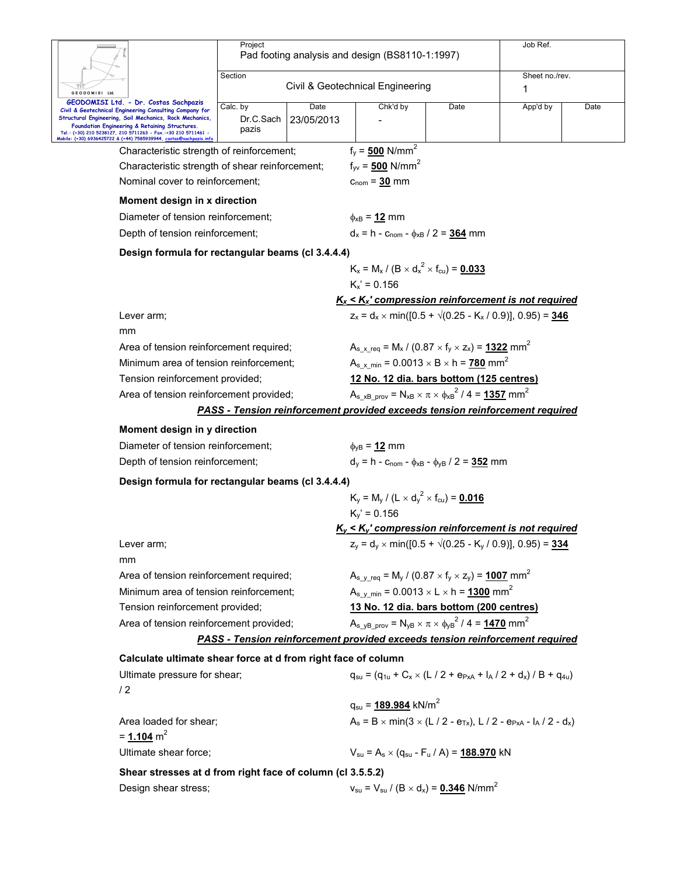|                                                                                                                                     | Project                                 |            |                                                                                                                                                              |                                                                                              | Job Ref.       |      |  |  |
|-------------------------------------------------------------------------------------------------------------------------------------|-----------------------------------------|------------|--------------------------------------------------------------------------------------------------------------------------------------------------------------|----------------------------------------------------------------------------------------------|----------------|------|--|--|
|                                                                                                                                     |                                         |            | Pad footing analysis and design (BS8110-1:1997)                                                                                                              |                                                                                              |                |      |  |  |
|                                                                                                                                     | Section                                 |            |                                                                                                                                                              |                                                                                              | Sheet no./rev. |      |  |  |
| GEODOMISI Ltd.                                                                                                                      |                                         |            | Civil & Geotechnical Engineering                                                                                                                             |                                                                                              | 1              |      |  |  |
| GEODOMISI Ltd. - Dr. Costas Sachpazis<br>Civil & Geotechnical Engineering Consulting Company for                                    | Calc. by                                | Date       | Chk'd by                                                                                                                                                     | Date                                                                                         | App'd by       | Date |  |  |
| Structural Engineering, Soil Mechanics, Rock Mechanics,<br>Foundation Engineering & Retaining Structures.                           | Dr.C.Sach                               | 23/05/2013 |                                                                                                                                                              |                                                                                              |                |      |  |  |
| Tel.: (+30) 210 5238127, 210 5711263 - Fax.:+30 210 5711461 -<br>Mobile: (+30) 6936425722 & (+44) 7585939944, costas@sachpazis.infc | pazis                                   |            |                                                                                                                                                              |                                                                                              |                |      |  |  |
| Characteristic strength of reinforcement;                                                                                           |                                         |            | $f_y = 500$ N/mm <sup>2</sup>                                                                                                                                |                                                                                              |                |      |  |  |
| Characteristic strength of shear reinforcement;                                                                                     |                                         |            | $f_{\text{vv}} = 500 \text{ N/mm}^2$                                                                                                                         |                                                                                              |                |      |  |  |
| Nominal cover to reinforcement;                                                                                                     |                                         |            | $c_{nom} = 30$ mm                                                                                                                                            |                                                                                              |                |      |  |  |
| Moment design in x direction                                                                                                        |                                         |            |                                                                                                                                                              |                                                                                              |                |      |  |  |
| Diameter of tension reinforcement;                                                                                                  |                                         |            | $\phi_{\text{xB}} = 12 \text{ mm}$                                                                                                                           |                                                                                              |                |      |  |  |
| Depth of tension reinforcement;                                                                                                     |                                         |            | $d_x = h - c_{\text{nom}} - \phi_{xB} / 2 = 364$ mm                                                                                                          |                                                                                              |                |      |  |  |
| Design formula for rectangular beams (cl 3.4.4.4)                                                                                   |                                         |            |                                                                                                                                                              |                                                                                              |                |      |  |  |
|                                                                                                                                     |                                         |            | $K_x = M_x / (B \times d_x^2 \times f_{cu}) = 0.033$                                                                                                         |                                                                                              |                |      |  |  |
|                                                                                                                                     |                                         |            | $K_x$ ' = 0.156                                                                                                                                              |                                                                                              |                |      |  |  |
|                                                                                                                                     |                                         |            | $K_x \leq K_x$ ' compression reinforcement is not required                                                                                                   |                                                                                              |                |      |  |  |
| Lever arm;                                                                                                                          |                                         |            | $z_x = d_x \times min([0.5 + \sqrt{(0.25 - K_x / 0.9)}], 0.95) = 346$                                                                                        |                                                                                              |                |      |  |  |
| mm                                                                                                                                  |                                         |            |                                                                                                                                                              |                                                                                              |                |      |  |  |
| Area of tension reinforcement required;                                                                                             |                                         |            | $A_{s}$ x req = M <sub>x</sub> / (0.87 × f <sub>y</sub> × z <sub>x</sub> ) = 1322 mm <sup>2</sup>                                                            |                                                                                              |                |      |  |  |
| Minimum area of tension reinforcement;                                                                                              |                                         |            | $A_{s}$ x min = 0.0013 $\times$ B $\times$ h = 780 mm <sup>2</sup>                                                                                           |                                                                                              |                |      |  |  |
| Tension reinforcement provided;                                                                                                     |                                         |            | 12 No. 12 dia. bars bottom (125 centres)                                                                                                                     |                                                                                              |                |      |  |  |
|                                                                                                                                     | Area of tension reinforcement provided; |            |                                                                                                                                                              | $A_{s \times B \text{ prov}} = N_{xB} \times \pi \times \phi_{xB}^2 / 4 = 1357 \text{ mm}^2$ |                |      |  |  |
|                                                                                                                                     |                                         |            | <b>PASS - Tension reinforcement provided exceeds tension reinforcement required</b>                                                                          |                                                                                              |                |      |  |  |
| Moment design in y direction                                                                                                        |                                         |            |                                                                                                                                                              |                                                                                              |                |      |  |  |
| Diameter of tension reinforcement;                                                                                                  |                                         |            | $\phi_{\text{VB}}$ = 12 mm                                                                                                                                   |                                                                                              |                |      |  |  |
| Depth of tension reinforcement;                                                                                                     |                                         |            | $d_v = h - c_{\text{nom}} - \phi_{xB} - \phi_{VB} / 2 = 352$ mm                                                                                              |                                                                                              |                |      |  |  |
| Design formula for rectangular beams (cl 3.4.4.4)                                                                                   |                                         |            |                                                                                                                                                              |                                                                                              |                |      |  |  |
|                                                                                                                                     |                                         |            | $K_v = M_v / (L \times d_v^2 \times f_{cu}) = 0.016$                                                                                                         |                                                                                              |                |      |  |  |
|                                                                                                                                     |                                         |            | $K_v' = 0.156$                                                                                                                                               |                                                                                              |                |      |  |  |
|                                                                                                                                     |                                         |            | $K_y$ < $K_y$ ' compression reinforcement is not required                                                                                                    |                                                                                              |                |      |  |  |
| Lever arm;                                                                                                                          |                                         |            | $z_v = d_v \times min([0.5 + \sqrt{(0.25 - K_v / 0.9)}], 0.95) = 334$                                                                                        |                                                                                              |                |      |  |  |
| mm                                                                                                                                  |                                         |            |                                                                                                                                                              |                                                                                              |                |      |  |  |
| Area of tension reinforcement required;                                                                                             |                                         |            | $A_{s}$ <sub>y req</sub> = M <sub>y</sub> / (0.87 $\times$ f <sub>y</sub> $\times$ z <sub>y</sub> ) = <u>1007</u> mm <sup>2</sup>                            |                                                                                              |                |      |  |  |
| Minimum area of tension reinforcement;                                                                                              |                                         |            | $A_{s \text{ v min}} = 0.0013 \times L \times h = 1300 \text{ mm}^2$                                                                                         |                                                                                              |                |      |  |  |
| Tension reinforcement provided;                                                                                                     |                                         |            |                                                                                                                                                              |                                                                                              |                |      |  |  |
| Area of tension reinforcement provided;                                                                                             |                                         |            | 13 No. 12 dia. bars bottom (200 centres)<br>$A_{s}$ <sub>VB</sub> <sub>prov</sub> = $N_{vB} \times \pi \times \phi_{vB}^2$ / 4 = <b>1470</b> mm <sup>2</sup> |                                                                                              |                |      |  |  |
|                                                                                                                                     |                                         |            | <b>PASS - Tension reinforcement provided exceeds tension reinforcement required</b>                                                                          |                                                                                              |                |      |  |  |
|                                                                                                                                     |                                         |            |                                                                                                                                                              |                                                                                              |                |      |  |  |
| Calculate ultimate shear force at d from right face of column                                                                       |                                         |            |                                                                                                                                                              |                                                                                              |                |      |  |  |
| Ultimate pressure for shear;<br>/2                                                                                                  |                                         |            | $q_{su} = (q_{1u} + C_x \times (L / 2 + e_{PxA} + I_A / 2 + d_x) / B + q_{4u})$                                                                              |                                                                                              |                |      |  |  |
|                                                                                                                                     |                                         |            | $q_{su}$ = 189.984 kN/m <sup>2</sup>                                                                                                                         |                                                                                              |                |      |  |  |
| Area loaded for shear;<br>$= 1.104$ m <sup>2</sup>                                                                                  |                                         |            | $A_s = B \times min(3 \times (L / 2 - e_{Tx}), L / 2 - e_{PxA} - I_A / 2 - d_x)$                                                                             |                                                                                              |                |      |  |  |
| Ultimate shear force;                                                                                                               |                                         |            | $V_{\text{su}} = A_{\text{s}} \times (q_{\text{su}} - F_{\text{u}} / A) = 188.970 \text{ kN}$                                                                |                                                                                              |                |      |  |  |
| Shear stresses at d from right face of column (cl 3.5.5.2)                                                                          |                                         |            |                                                                                                                                                              |                                                                                              |                |      |  |  |
| Design shear stress;                                                                                                                |                                         |            | $v_{\rm su} = V_{\rm su} / (B \times d_{\rm x}) = 0.346$ N/mm <sup>2</sup>                                                                                   |                                                                                              |                |      |  |  |
|                                                                                                                                     |                                         |            |                                                                                                                                                              |                                                                                              |                |      |  |  |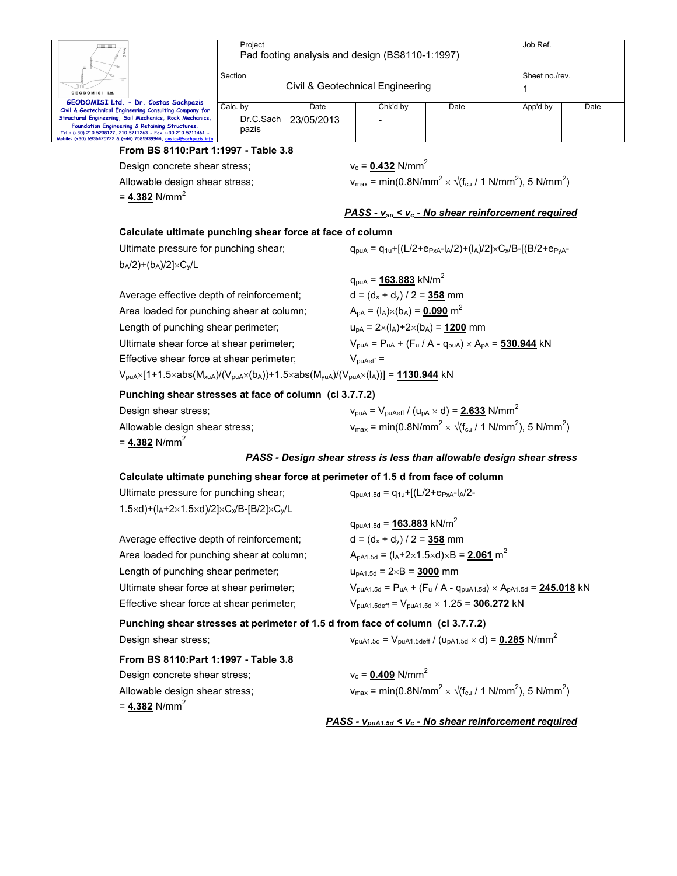| Ш.                                                                                                                                                                                                                                               | Project<br>Pad footing analysis and design (BS8110-1:1997) | Job Ref.       |          |      |          |      |
|--------------------------------------------------------------------------------------------------------------------------------------------------------------------------------------------------------------------------------------------------|------------------------------------------------------------|----------------|----------|------|----------|------|
| GEODOMISI Ltd.                                                                                                                                                                                                                                   | Section<br>Civil & Geotechnical Engineering                | Sheet no./rev. |          |      |          |      |
| GEODOMISI Ltd. - Dr. Costas Sachpazis<br>Civil & Geotechnical Engineering Consulting Company for                                                                                                                                                 | Calc. by                                                   | Date           | Chk'd by | Date | App'd by | Date |
| Structural Engineering, Soil Mechanics, Rock Mechanics,<br>Foundation Engineering & Retaining Structures.<br>Tel.: (+30) 210 5238127, 210 5711263 - Fax.:+30 210 5711461 -<br>Mobile: (+30) 6936425722 & (+44) 7585939944, costas@sachpazis.info | Dr.C.Sach<br>pazis                                         | 23/05/2013     |          |      |          |      |

#### **From BS 8110:Part 1:1997 - Table 3.8**

Design concrete shear stress;  $v_c = 0.432$  N/mm<sup>2</sup>

Allowable design shear stress;

 $= 4.382$  N/mm<sup>2</sup>

 $\times$   $\sqrt{(f_{cu}/1 \text{ N/mm}^2)}$ , 5 N/mm<sup>2</sup>)

#### *PASS - vsu < vc - No shear reinforcement required*

#### **Calculate ultimate punching shear force at face of column**

| Ultimate pressure for punching shear;                                                                                                                                                    | $q_{\text{pUA}} = q_{1u} + [(L/2 + e_{PxA} - I_A/2) + (I_A)/2] \times C_x/B - [(B/2 + e_{PYA} - I_A/2) + (I_A)/2]$ |
|------------------------------------------------------------------------------------------------------------------------------------------------------------------------------------------|--------------------------------------------------------------------------------------------------------------------|
| $b_A/2$ + $(b_A)/2$   $\times$ C <sub>v</sub> /L                                                                                                                                         |                                                                                                                    |
|                                                                                                                                                                                          | $q_{\text{pUA}} = 163.883 \text{ kN/m}^2$                                                                          |
| Average effective depth of reinforcement;                                                                                                                                                | $d = (d_x + d_y) / 2 = 358$ mm                                                                                     |
| Area loaded for punching shear at column;                                                                                                                                                | $A_{\text{pA}} = (I_A) \times (b_A) = 0.090 \text{ m}^2$                                                           |
| Length of punching shear perimeter;                                                                                                                                                      | $u_{pA} = 2 \times (I_A) + 2 \times (b_A) = 1200$ mm                                                               |
| Ultimate shear force at shear perimeter;                                                                                                                                                 | $V_{\text{pUA}} = P_{\text{uA}} + (F_{\text{u}} / A - q_{\text{pUA}}) \times A_{\text{pA}} = 530.944$ kN           |
| Effective shear force at shear perimeter;                                                                                                                                                | $V_{\text{nuAeff}} =$                                                                                              |
| $V_{\text{puA}} \times [1+1.5 \times abs(M_{\text{kulA}})/(V_{\text{puA}} \times (b_{\text{A}})) + 1.5 \times abs(M_{\text{vlA}})/(V_{\text{puA}} \times (l_{\text{A}}))] = 1130.944$ kN |                                                                                                                    |
|                                                                                                                                                                                          |                                                                                                                    |

**Punching shear stresses at face of column (cl 3.7.7.2)** 

| Design shear stress:           | $V_{\text{pUA}} = V_{\text{pUAeff}} / (U_{\text{pA}} \times d) = 2.633 \text{ N/mm}^2$     |
|--------------------------------|--------------------------------------------------------------------------------------------|
| Allowable design shear stress; | $v_{max}$ = min(0.8N/mm <sup>2</sup> × $\sqrt{(f_{cu}/ 1 N/mm^2)}$ , 5 N/mm <sup>2</sup> ) |
| = 4.382 N/mm <sup>2</sup>      |                                                                                            |

#### *PASS - Design shear stress is less than allowable design shear stress*

### **Calculate ultimate punching shear force at perimeter of 1.5 d from face of column**

| Ultimate pressure for punching shear;                                                 | $q_{\text{pUA1.5d}} = q_{1u} + [(L/2 + e_{PxA} - I_A/2 -$ |
|---------------------------------------------------------------------------------------|-----------------------------------------------------------|
| $1.5\times d$ +(l <sub>A</sub> +2×1.5×d)/2]×C <sub>x</sub> /B-[B/2]×C <sub>v</sub> /L |                                                           |
|                                                                                       | $q_{\sf p u A1.5d}$ = 163.883 kN/m <sup>2</sup>           |
| Average effective depth of reinforcement;                                             | $d = (d_x + d_y)/2 = 358$ mm                              |

Area loaded for punching shear at column;  $A_{pA1.5d} = (I_A + 2 \times 1.5 \times d) \times B = 2.061$  m<sup>2</sup> Length of punching shear perimeter;  $u_{pA1.5d} = 2 \times B = 3000$  mm

Ultimate shear force at shear perimeter;  $V_{puA1.5d} = P_{uA} + (F_u / A - q_{puA1.5d}) \times A_{pA1.5d} = 245.018$  kN Effective shear force at shear perimeter;  $V_{p u A1.5 \text{ def}} = V_{p u A1.5d} \times 1.25 = 306.272 \text{ kN}$ 

| Punching shear stresses at perimeter of 1.5 d from face of column (cl 3.7.7.2) |                                                                                                                 |
|--------------------------------------------------------------------------------|-----------------------------------------------------------------------------------------------------------------|
| Design shear stress:                                                           | $V_{\text{puA1.5d}} = V_{\text{puA1.5deff}} / (U_{\text{pA1.5d}} \times d) = 0.285 \text{ N/mm}^2$              |
| From BS 8110: Part 1:1997 - Table 3.8                                          |                                                                                                                 |
| Design concrete shear stress:                                                  | $v_c = 0.409$ N/mm <sup>2</sup>                                                                                 |
| Allowable design shear stress;                                                 | $v_{\text{max}} = \text{min}(0.8 \text{N/mm}^2 \times \sqrt{(f_{\text{cu}}/1 \text{N/mm}^2)}, 5 \text{N/mm}^2)$ |
| = 4.382 $N/mm^2$                                                               |                                                                                                                 |

*PASS - vpuA1.5d < vc - No shear reinforcement required*